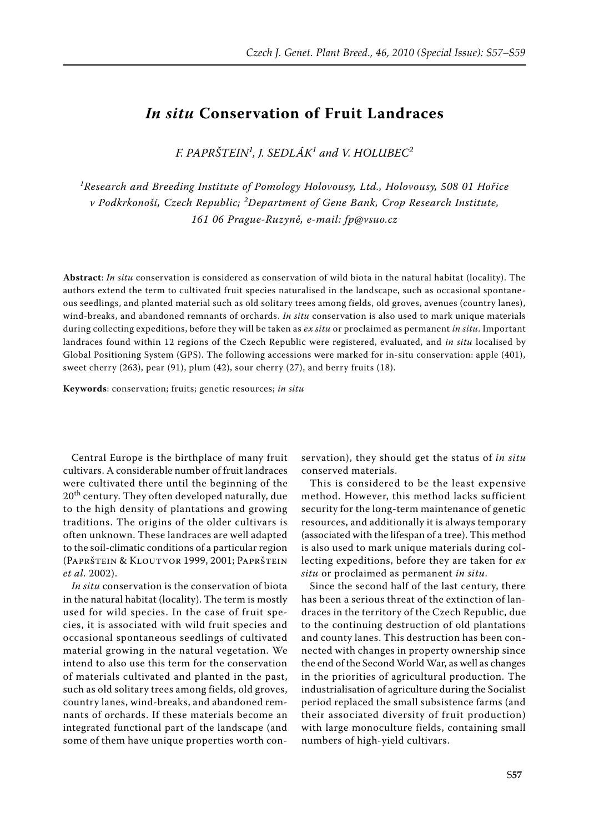## *In situ* **Conservation of Fruit Landraces**

*F. Paprštein<sup>1</sup> , J. Sedlák<sup>1</sup> and V. Holubec<sup>2</sup>*

*1 Research and Breeding Institute of Pomology Holovousy, Ltd., Holovousy, 508 01 Hořice v Podkrkonoší, Czech Republic; <sup>2</sup> Department of Gene Bank, Crop Research Institute, 161 06 Prague-Ruzyně, e-mail: fp@vsuo.cz*

**Abstract**: *In situ* conservation is considered as conservation of wild biota in the natural habitat (locality). The authors extend the term to cultivated fruit species naturalised in the landscape, such as occasional spontaneous seedlings, and planted material such as old solitary trees among fields, old groves, avenues (country lanes), wind-breaks, and abandoned remnants of orchards. *In situ* conservation is also used to mark unique materials during collecting expeditions, before they will be taken as *ex situ* or proclaimed as permanent *in situ*. Important landraces found within 12 regions of the Czech Republic were registered, evaluated, and *in situ* localised by Global Positioning System (GPS). The following accessions were marked for in-situ conservation: apple (401), sweet cherry (263), pear (91), plum (42), sour cherry (27), and berry fruits (18).

**Keywords**: conservation; fruits; genetic resources; *in situ*

Central Europe is the birthplace of many fruit cultivars. A considerable number of fruit landraces were cultivated there until the beginning of the 20<sup>th</sup> century. They often developed naturally, due to the high density of plantations and growing traditions. The origins of the older cultivars is often unknown. These landraces are well adapted to the soil-climatic conditions of a particular region (Paprštein & Kloutvor 1999, 2001; Paprštein *et al*. 2002).

*In situ* conservation is the conservation of biota in the natural habitat (locality). The term is mostly used for wild species. In the case of fruit species, it is associated with wild fruit species and occasional spontaneous seedlings of cultivated material growing in the natural vegetation. We intend to also use this term for the conservation of materials cultivated and planted in the past, such as old solitary trees among fields, old groves, country lanes, wind-breaks, and abandoned remnants of orchards. If these materials become an integrated functional part of the landscape (and some of them have unique properties worth conservation), they should get the status of *in situ* conserved materials.

This is considered to be the least expensive method. However, this method lacks sufficient security for the long-term maintenance of genetic resources, and additionally it is always temporary (associated with the lifespan of a tree). This method is also used to mark unique materials during collecting expeditions, before they are taken for *ex situ* or proclaimed as permanent *in situ*.

Since the second half of the last century, there has been a serious threat of the extinction of landraces in the territory of the Czech Republic, due to the continuing destruction of old plantations and county lanes. This destruction has been connected with changes in property ownership since the end of the Second World War, as well as changes in the priorities of agricultural production. The industrialisation of agriculture during the Socialist period replaced the small subsistence farms (and their associated diversity of fruit production) with large monoculture fields, containing small numbers of high-yield cultivars.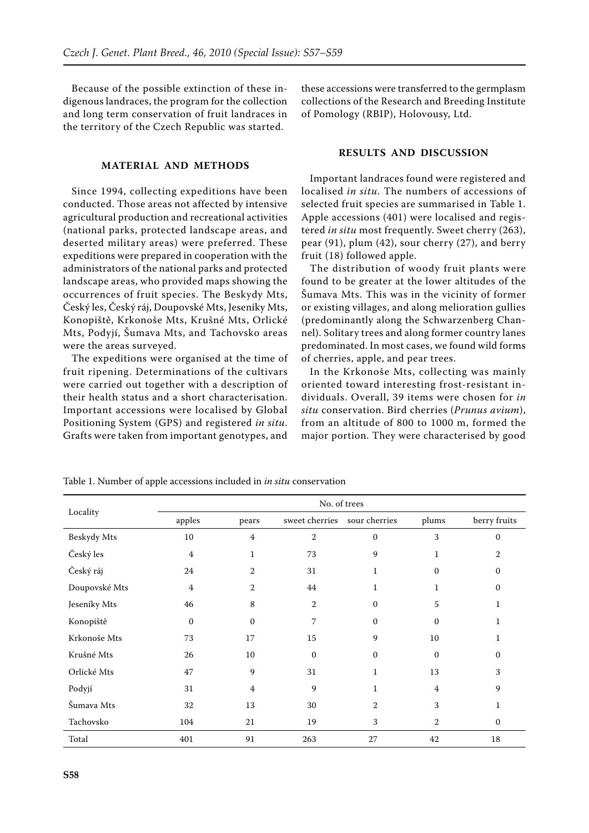Because of the possible extinction of these indigenous landraces, the program for the collection and long term conservation of fruit landraces in the territory of the Czech Republic was started.

## **MATERIAL AND METHODS**

Since 1994, collecting expeditions have been conducted. Those areas not affected by intensive agricultural production and recreational activities (national parks, protected landscape areas, and deserted military areas) were preferred. These expeditions were prepared in cooperation with the administrators of the national parks and protected landscape areas, who provided maps showing the occurrences of fruit species. The Beskydy Mts, Český les, Český ráj, Doupovské Mts, Jeseníky Mts, Konopiště, Krkonoše Mts, Krušné Mts, Orlické Mts, Podyjí, Šumava Mts, and Tachovsko areas were the areas surveyed.

The expeditions were organised at the time of fruit ripening. Determinations of the cultivars were carried out together with a description of their health status and a short characterisation. Important accessions were localised by Global Positioning System (GPS) and registered *in situ*. Grafts were taken from important genotypes, and

these accessions were transferred to the germplasm collections of the Research and Breeding Institute of Pomology (RBIP), Holovousy, Ltd.

## **RESULTS AND DISCUSSION**

Important landraces found were registered and localised *in situ*. The numbers of accessions of selected fruit species are summarised in Table 1. Apple accessions (401) were localised and registered *in situ* most frequently. Sweet cherry (263), pear (91), plum (42), sour cherry (27), and berry fruit (18) followed apple.

The distribution of woody fruit plants were found to be greater at the lower altitudes of the Šumava Mts. This was in the vicinity of former or existing villages, and along melioration gullies (predominantly along the Schwarzenberg Channel). Solitary trees and along former country lanes predominated. In most cases, we found wild forms of cherries, apple, and pear trees.

In the Krkonoše Mts, collecting was mainly oriented toward interesting frost-resistant individuals. Overall, 39 items were chosen for *in situ* conservation. Bird cherries (*Prunus avium*), from an altitude of 800 to 1000 m, formed the major portion. They were characterised by good

| Locality      | No. of trees     |                |                |                |                |              |
|---------------|------------------|----------------|----------------|----------------|----------------|--------------|
|               | apples           | pears          | sweet cherries | sour cherries  | plums          | berry fruits |
| Beskydy Mts   | 10               | $\overline{4}$ | $\overline{2}$ | $\mathbf{0}$   | 3              | $\mathbf{0}$ |
| Český les     | $\overline{4}$   | $\mathbf{1}$   | 73             | 9              | 1              | 2            |
| Český ráj     | 24               | 2              | 31             | 1              | $\Omega$       | $\mathbf{0}$ |
| Doupovské Mts | $\overline{4}$   | 2              | 44             | 1              | 1              | $\mathbf{0}$ |
| Jeseníky Mts  | 46               | 8              | $\overline{2}$ | $\mathbf{0}$   | 5              | 1            |
| Konopiště     | $\boldsymbol{0}$ | $\mathbf{0}$   | 7              | $\mathbf{0}$   | $\mathbf{0}$   | 1            |
| Krkonoše Mts  | 73               | 17             | 15             | 9              | 10             | 1            |
| Krušné Mts    | 26               | 10             | $\mathbf{0}$   | $\mathbf 0$    | $\mathbf{0}$   | $\mathbf{0}$ |
| Orlické Mts   | 47               | 9              | 31             | $\mathbf{1}$   | 13             | 3            |
| Podyjí        | 31               | $\overline{4}$ | 9              | $\mathbf{1}$   | $\overline{4}$ | 9            |
| Šumava Mts    | 32               | 13             | 30             | $\overline{2}$ | 3              | 1            |
| Tachovsko     | 104              | 21             | 19             | 3              | 2              | $\mathbf{0}$ |
| Total         | 401              | 91             | 263            | 27             | 42             | 18           |

Table 1. Number of apple accessions included in *in situ* conservation